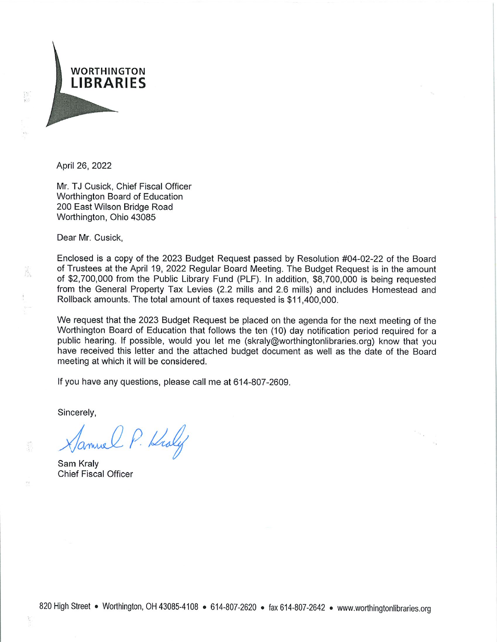

April 26, 2022

Mr. TJ Cusick, Chief Fiscal Officer Worthington Board of Education 200 East Wilson Bridge Road Worthington, Ohio 43085

Dear Mr. Cusick.

Ã

Enclosed is a copy of the 2023 Budget Request passed by Resolution #04-02-22 of the Board of Trustees at the April 19, 2022 Regular Board Meeting. The Budget Request is in the amount of \$2,700,000 from the Public Library Fund (PLF). In addition, \$8,700,000 is being requested from the General Property Tax Levies (2.2 mills and 2.6 mills) and includes Homestead and Rollback amounts. The total amount of taxes requested is \$11,400,000.

We request that the 2023 Budget Request be placed on the agenda for the next meeting of the Worthington Board of Education that follows the ten (10) day notification period required for a public hearing. If possible, would you let me (skraly@worthingtonlibraries.org) know that you have received this letter and the attached budget document as well as the date of the Board meeting at which it will be considered.

If you have any questions, please call me at 614-807-2609.

Sincerely,

P. Kroly

Sam Kraly **Chief Fiscal Officer**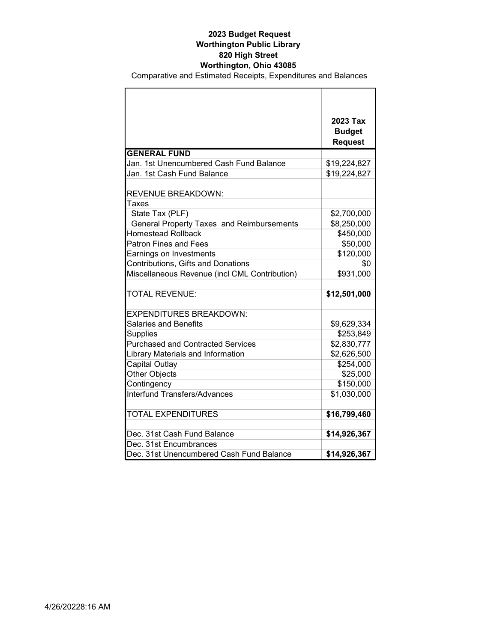|                                               | 2023 Tax       |
|-----------------------------------------------|----------------|
|                                               | <b>Budget</b>  |
| <b>GENERAL FUND</b>                           | <b>Request</b> |
|                                               |                |
| Jan. 1st Unencumbered Cash Fund Balance       | \$19,224,827   |
| Jan. 1st Cash Fund Balance                    | \$19,224,827   |
| <b>REVENUE BREAKDOWN:</b>                     |                |
| Taxes                                         |                |
| State Tax (PLF)                               | \$2,700,000    |
| General Property Taxes and Reimbursements     | \$8,250,000    |
| Homestead Rollback                            | \$450,000      |
| <b>Patron Fines and Fees</b>                  | \$50,000       |
| Earnings on Investments                       | \$120,000      |
| Contributions, Gifts and Donations            | \$0            |
| Miscellaneous Revenue (incl CML Contribution) | \$931,000      |
|                                               |                |
| <b>TOTAL REVENUE:</b>                         | \$12,501,000   |
| <b>EXPENDITURES BREAKDOWN:</b>                |                |
| <b>Salaries and Benefits</b>                  | \$9,629,334    |
| <b>Supplies</b>                               | \$253,849      |
| <b>Purchased and Contracted Services</b>      | \$2,830,777    |
| Library Materials and Information             | \$2,626,500    |
| <b>Capital Outlay</b>                         | \$254,000      |
| Other Objects                                 | \$25,000       |
| Contingency                                   | \$150,000      |
| <b>Interfund Transfers/Advances</b>           | \$1,030,000    |
| <b>TOTAL EXPENDITURES</b>                     | \$16,799,460   |
|                                               |                |
| Dec. 31st Cash Fund Balance                   | \$14,926,367   |
| Dec. 31st Encumbrances                        |                |
| Dec. 31st Unencumbered Cash Fund Balance      | \$14,926,367   |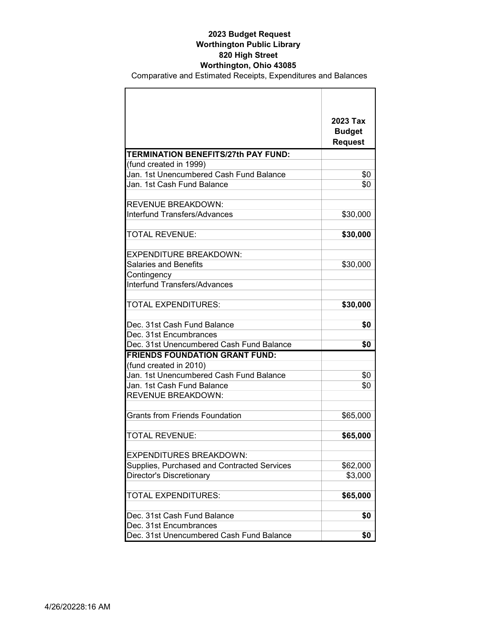|                                                                      | 2023 Tax<br><b>Budget</b><br><b>Request</b> |
|----------------------------------------------------------------------|---------------------------------------------|
| <b>TERMINATION BENEFITS/27th PAY FUND:</b><br>(fund created in 1999) |                                             |
| Jan. 1st Unencumbered Cash Fund Balance                              | \$0                                         |
| Jan. 1st Cash Fund Balance                                           | \$0                                         |
|                                                                      |                                             |
| <b>REVENUE BREAKDOWN:</b>                                            |                                             |
| <b>Interfund Transfers/Advances</b>                                  | \$30,000                                    |
|                                                                      |                                             |
| <b>TOTAL REVENUE:</b>                                                | \$30,000                                    |
|                                                                      |                                             |
| <b>EXPENDITURE BREAKDOWN:</b>                                        |                                             |
| <b>Salaries and Benefits</b>                                         | \$30,000                                    |
| Contingency                                                          |                                             |
| <b>Interfund Transfers/Advances</b>                                  |                                             |
| <b>TOTAL EXPENDITURES:</b>                                           | \$30,000                                    |
| Dec. 31st Cash Fund Balance                                          | \$0                                         |
| Dec. 31st Encumbrances                                               |                                             |
| Dec. 31st Unencumbered Cash Fund Balance                             | \$0                                         |
| <b>FRIENDS FOUNDATION GRANT FUND:</b>                                |                                             |
| (fund created in 2010)                                               |                                             |
| Jan. 1st Unencumbered Cash Fund Balance                              | \$0                                         |
| Jan. 1st Cash Fund Balance                                           | \$0                                         |
| REVENUE BREAKDOWN:                                                   |                                             |
| <b>Grants from Friends Foundation</b>                                | \$65,000                                    |
| <b>TOTAL REVENUE:</b>                                                | \$65,000                                    |
| <b>EXPENDITURES BREAKDOWN:</b>                                       |                                             |
| Supplies, Purchased and Contracted Services                          | \$62,000                                    |
| <b>Director's Discretionary</b>                                      | \$3,000                                     |
|                                                                      |                                             |
| <b>TOTAL EXPENDITURES:</b>                                           | \$65,000                                    |
| Dec. 31st Cash Fund Balance                                          | \$0                                         |
| Dec. 31st Encumbrances                                               |                                             |
| Dec. 31st Unencumbered Cash Fund Balance                             | \$0                                         |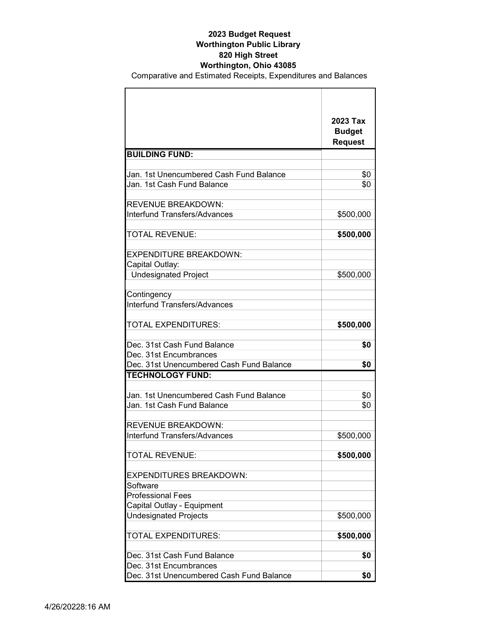|                                          | 2023 Tax                        |
|------------------------------------------|---------------------------------|
|                                          | <b>Budget</b><br><b>Request</b> |
| <b>BUILDING FUND:</b>                    |                                 |
|                                          |                                 |
| Jan. 1st Unencumbered Cash Fund Balance  | \$0                             |
| Jan. 1st Cash Fund Balance               | \$0                             |
|                                          |                                 |
| <b>REVENUE BREAKDOWN:</b>                |                                 |
| Interfund Transfers/Advances             | \$500,000                       |
|                                          |                                 |
| <b>TOTAL REVENUE:</b>                    | \$500,000                       |
|                                          |                                 |
| <b>EXPENDITURE BREAKDOWN:</b>            |                                 |
| Capital Outlay:                          |                                 |
| <b>Undesignated Project</b>              | \$500,000                       |
| Contingency                              |                                 |
| Interfund Transfers/Advances             |                                 |
|                                          |                                 |
| <b>TOTAL EXPENDITURES:</b>               | \$500,000                       |
|                                          |                                 |
| Dec. 31st Cash Fund Balance              | \$0                             |
| Dec. 31st Encumbrances                   |                                 |
| Dec. 31st Unencumbered Cash Fund Balance | \$0                             |
| <b>TECHNOLOGY FUND:</b>                  |                                 |
|                                          |                                 |
| Jan. 1st Unencumbered Cash Fund Balance  | \$0                             |
| Jan. 1st Cash Fund Balance               | \$0                             |
|                                          |                                 |
| <b>REVENUE BREAKDOWN:</b>                |                                 |
| Interfund Transfers/Advances             | \$500,000                       |
| <b>TOTAL REVENUE:</b>                    | \$500,000                       |
|                                          |                                 |
| <b>EXPENDITURES BREAKDOWN:</b>           |                                 |
| Software                                 |                                 |
| <b>Professional Fees</b>                 |                                 |
| Capital Outlay - Equipment               |                                 |
| <b>Undesignated Projects</b>             | \$500,000                       |
|                                          |                                 |
| <b>TOTAL EXPENDITURES:</b>               | \$500,000                       |
|                                          |                                 |
| Dec. 31st Cash Fund Balance              | \$0                             |
| Dec. 31st Encumbrances                   |                                 |
| Dec. 31st Unencumbered Cash Fund Balance | \$0                             |